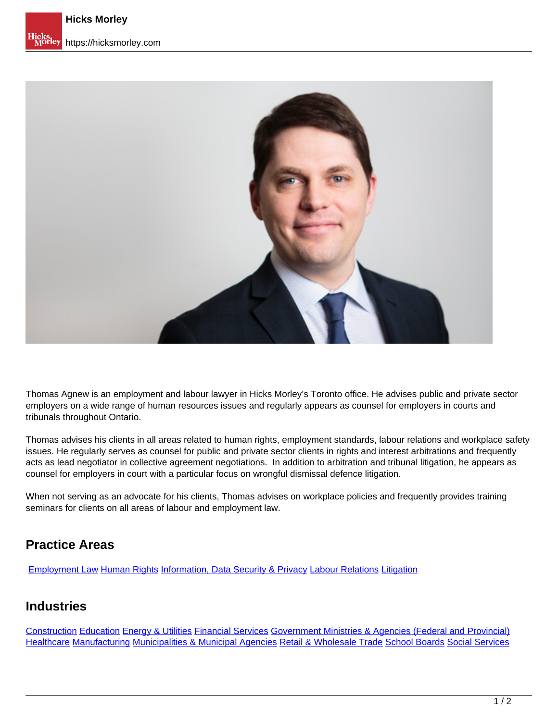

Thomas Agnew is an employment and labour lawyer in Hicks Morley's Toronto office. He advises public and private sector employers on a wide range of human resources issues and regularly appears as counsel for employers in courts and tribunals throughout Ontario.

Thomas advises his clients in all areas related to human rights, employment standards, labour relations and workplace safety issues. He regularly serves as counsel for public and private sector clients in rights and interest arbitrations and frequently acts as lead negotiator in collective agreement negotiations. In addition to arbitration and tribunal litigation, he appears as counsel for employers in court with a particular focus on wrongful dismissal defence litigation.

When not serving as an advocate for his clients, Thomas advises on workplace policies and frequently provides training seminars for clients on all areas of labour and employment law.

## **Practice Areas**

[Employment Law](https://hicksmorley.com/expertise/employment-law) Human Rights Information, Data Security & Privacy Labour Relations Litigation

#### **Industries**

Construction Education Energy & Utilities Financial Services Government Ministries & Agencies (Federal and Provincial) Healthcare Manufacturing Municipalities & Municipal Agencies Retail & Wholesale Trade School Boards Social Services